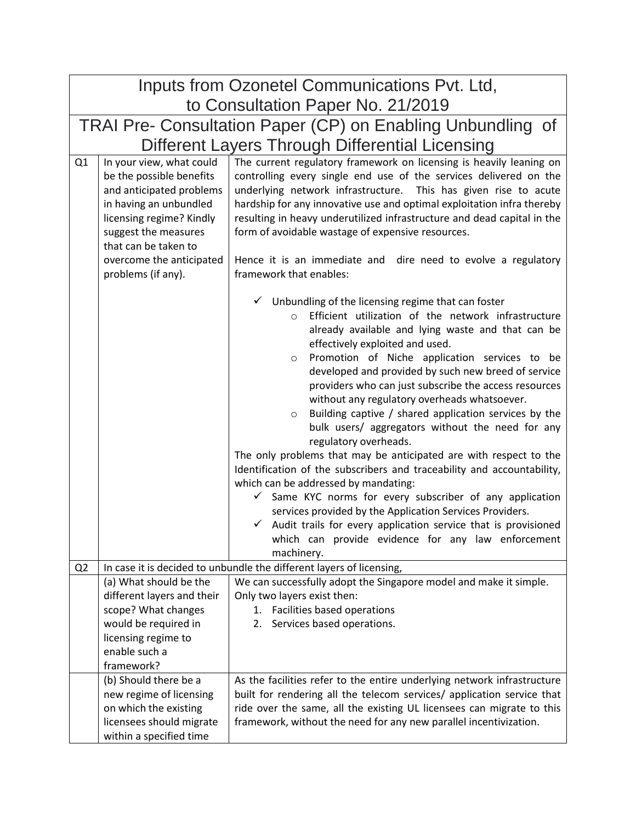| Inputs from Ozonetel Communications Pvt. Ltd,               |                                                                                                                                                                                                                                          |                                                                                                                                                                                                                                                                                                                                                                                                                                                                                                                                                                                                                                                                                                                                                                                                                                                                                                                                                                                                                                                              |  |
|-------------------------------------------------------------|------------------------------------------------------------------------------------------------------------------------------------------------------------------------------------------------------------------------------------------|--------------------------------------------------------------------------------------------------------------------------------------------------------------------------------------------------------------------------------------------------------------------------------------------------------------------------------------------------------------------------------------------------------------------------------------------------------------------------------------------------------------------------------------------------------------------------------------------------------------------------------------------------------------------------------------------------------------------------------------------------------------------------------------------------------------------------------------------------------------------------------------------------------------------------------------------------------------------------------------------------------------------------------------------------------------|--|
| to Consultation Paper No. 21/2019                           |                                                                                                                                                                                                                                          |                                                                                                                                                                                                                                                                                                                                                                                                                                                                                                                                                                                                                                                                                                                                                                                                                                                                                                                                                                                                                                                              |  |
| TRAI Pre- Consultation Paper (CP) on Enabling Unbundling of |                                                                                                                                                                                                                                          |                                                                                                                                                                                                                                                                                                                                                                                                                                                                                                                                                                                                                                                                                                                                                                                                                                                                                                                                                                                                                                                              |  |
| Different Layers Through Differential Licensing             |                                                                                                                                                                                                                                          |                                                                                                                                                                                                                                                                                                                                                                                                                                                                                                                                                                                                                                                                                                                                                                                                                                                                                                                                                                                                                                                              |  |
| Q <sub>1</sub>                                              | In your view, what could<br>be the possible benefits<br>and anticipated problems<br>in having an unbundled<br>licensing regime? Kindly<br>suggest the measures<br>that can be taken to<br>overcome the anticipated<br>problems (if any). | The current regulatory framework on licensing is heavily leaning on<br>controlling every single end use of the services delivered on the<br>underlying network infrastructure. This has given rise to acute<br>hardship for any innovative use and optimal exploitation infra thereby<br>resulting in heavy underutilized infrastructure and dead capital in the<br>form of avoidable wastage of expensive resources.<br>Hence it is an immediate and dire need to evolve a regulatory<br>framework that enables:                                                                                                                                                                                                                                                                                                                                                                                                                                                                                                                                            |  |
|                                                             |                                                                                                                                                                                                                                          | Unbundling of the licensing regime that can foster<br>Efficient utilization of the network infrastructure<br>$\circ$<br>already available and lying waste and that can be<br>effectively exploited and used.<br>Promotion of Niche application services to be<br>$\circ$<br>developed and provided by such new breed of service<br>providers who can just subscribe the access resources<br>without any regulatory overheads whatsoever.<br>Building captive / shared application services by the<br>$\circ$<br>bulk users/ aggregators without the need for any<br>regulatory overheads.<br>The only problems that may be anticipated are with respect to the<br>Identification of the subscribers and traceability and accountability,<br>which can be addressed by mandating:<br>Same KYC norms for every subscriber of any application<br>$\checkmark$<br>services provided by the Application Services Providers.<br>Audit trails for every application service that is provisioned<br>which can provide evidence for any law enforcement<br>machinery. |  |
|                                                             | In case it is decided to unbundle the different layers of licensing,<br>Q <sub>2</sub>                                                                                                                                                   |                                                                                                                                                                                                                                                                                                                                                                                                                                                                                                                                                                                                                                                                                                                                                                                                                                                                                                                                                                                                                                                              |  |
|                                                             | (a) What should be the<br>different layers and their<br>scope? What changes<br>would be required in<br>licensing regime to<br>enable such a<br>framework?                                                                                | We can successfully adopt the Singapore model and make it simple.<br>Only two layers exist then:<br>Facilities based operations<br>1.<br>Services based operations.<br>2.                                                                                                                                                                                                                                                                                                                                                                                                                                                                                                                                                                                                                                                                                                                                                                                                                                                                                    |  |
|                                                             | (b) Should there be a<br>new regime of licensing<br>on which the existing<br>licensees should migrate<br>within a specified time                                                                                                         | As the facilities refer to the entire underlying network infrastructure<br>built for rendering all the telecom services/ application service that<br>ride over the same, all the existing UL licensees can migrate to this<br>framework, without the need for any new parallel incentivization.                                                                                                                                                                                                                                                                                                                                                                                                                                                                                                                                                                                                                                                                                                                                                              |  |